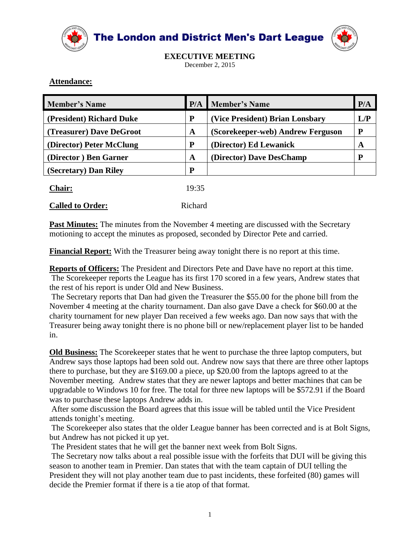

The London and District Men's Dart League



**EXECUTIVE MEETING** December 2, 2015

## **Attendance:**

| <b>Member's Name</b>     | P/A   | <b>Member's Name</b>              | P/A |
|--------------------------|-------|-----------------------------------|-----|
| (President) Richard Duke | P     | (Vice President) Brian Lonsbary   | L/P |
| (Treasurer) Dave DeGroot | A     | (Scorekeeper-web) Andrew Ferguson | P   |
| (Director) Peter McClung | P     | (Director) Ed Lewanick            | A   |
| (Director) Ben Garner    | A     | (Director) Dave DesChamp          | P   |
| (Secretary) Dan Riley    | P     |                                   |     |
| Chair:                   | 19:35 |                                   |     |

| <b>Called to Order:</b><br>Richard |
|------------------------------------|
|------------------------------------|

**Past Minutes:** The minutes from the November 4 meeting are discussed with the Secretary motioning to accept the minutes as proposed, seconded by Director Pete and carried.

**Financial Report:** With the Treasurer being away tonight there is no report at this time.

**Reports of Officers:** The President and Directors Pete and Dave have no report at this time. The Scorekeeper reports the League has its first 170 scored in a few years, Andrew states that the rest of his report is under Old and New Business.

The Secretary reports that Dan had given the Treasurer the \$55.00 for the phone bill from the November 4 meeting at the charity tournament. Dan also gave Dave a check for \$60.00 at the charity tournament for new player Dan received a few weeks ago. Dan now says that with the Treasurer being away tonight there is no phone bill or new/replacement player list to be handed in.

**Old Business:** The Scorekeeper states that he went to purchase the three laptop computers, but Andrew says those laptops had been sold out. Andrew now says that there are three other laptops there to purchase, but they are \$169.00 a piece, up \$20.00 from the laptops agreed to at the November meeting. Andrew states that they are newer laptops and better machines that can be upgradable to Windows 10 for free. The total for three new laptops will be \$572.91 if the Board was to purchase these laptops Andrew adds in.

After some discussion the Board agrees that this issue will be tabled until the Vice President attends tonight's meeting.

The Scorekeeper also states that the older League banner has been corrected and is at Bolt Signs, but Andrew has not picked it up yet.

The President states that he will get the banner next week from Bolt Signs.

The Secretary now talks about a real possible issue with the forfeits that DUI will be giving this season to another team in Premier. Dan states that with the team captain of DUI telling the President they will not play another team due to past incidents, these forfeited (80) games will decide the Premier format if there is a tie atop of that format.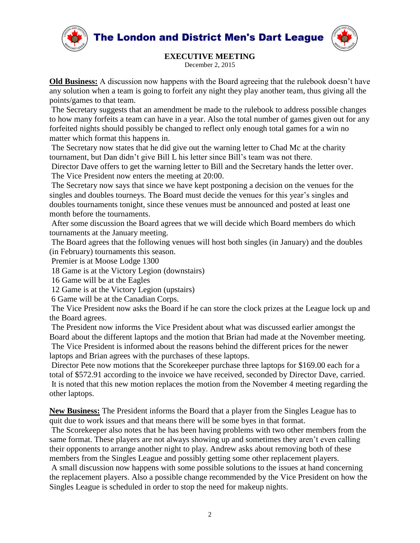**The London and District Men's Dart League** 





**EXECUTIVE MEETING**

December 2, 2015

**Old Business:** A discussion now happens with the Board agreeing that the rulebook doesn't have any solution when a team is going to forfeit any night they play another team, thus giving all the points/games to that team.

The Secretary suggests that an amendment be made to the rulebook to address possible changes to how many forfeits a team can have in a year. Also the total number of games given out for any forfeited nights should possibly be changed to reflect only enough total games for a win no matter which format this happens in.

The Secretary now states that he did give out the warning letter to Chad Mc at the charity tournament, but Dan didn't give Bill L his letter since Bill's team was not there.

Director Dave offers to get the warning letter to Bill and the Secretary hands the letter over. The Vice President now enters the meeting at 20:00.

The Secretary now says that since we have kept postponing a decision on the venues for the singles and doubles tourneys. The Board must decide the venues for this year's singles and doubles tournaments tonight, since these venues must be announced and posted at least one month before the tournaments.

After some discussion the Board agrees that we will decide which Board members do which tournaments at the January meeting.

The Board agrees that the following venues will host both singles (in January) and the doubles (in February) tournaments this season.

Premier is at Moose Lodge 1300

18 Game is at the Victory Legion (downstairs)

16 Game will be at the Eagles

12 Game is at the Victory Legion (upstairs)

6 Game will be at the Canadian Corps.

The Vice President now asks the Board if he can store the clock prizes at the League lock up and the Board agrees.

The President now informs the Vice President about what was discussed earlier amongst the Board about the different laptops and the motion that Brian had made at the November meeting. The Vice President is informed about the reasons behind the different prices for the newer

laptops and Brian agrees with the purchases of these laptops.

Director Pete now motions that the Scorekeeper purchase three laptops for \$169.00 each for a total of \$572.91 according to the invoice we have received, seconded by Director Dave, carried. It is noted that this new motion replaces the motion from the November 4 meeting regarding the other laptops.

**New Business:** The President informs the Board that a player from the Singles League has to quit due to work issues and that means there will be some byes in that format.

The Scorekeeper also notes that he has been having problems with two other members from the same format. These players are not always showing up and sometimes they aren't even calling their opponents to arrange another night to play. Andrew asks about removing both of these members from the Singles League and possibly getting some other replacement players.

A small discussion now happens with some possible solutions to the issues at hand concerning the replacement players. Also a possible change recommended by the Vice President on how the Singles League is scheduled in order to stop the need for makeup nights.